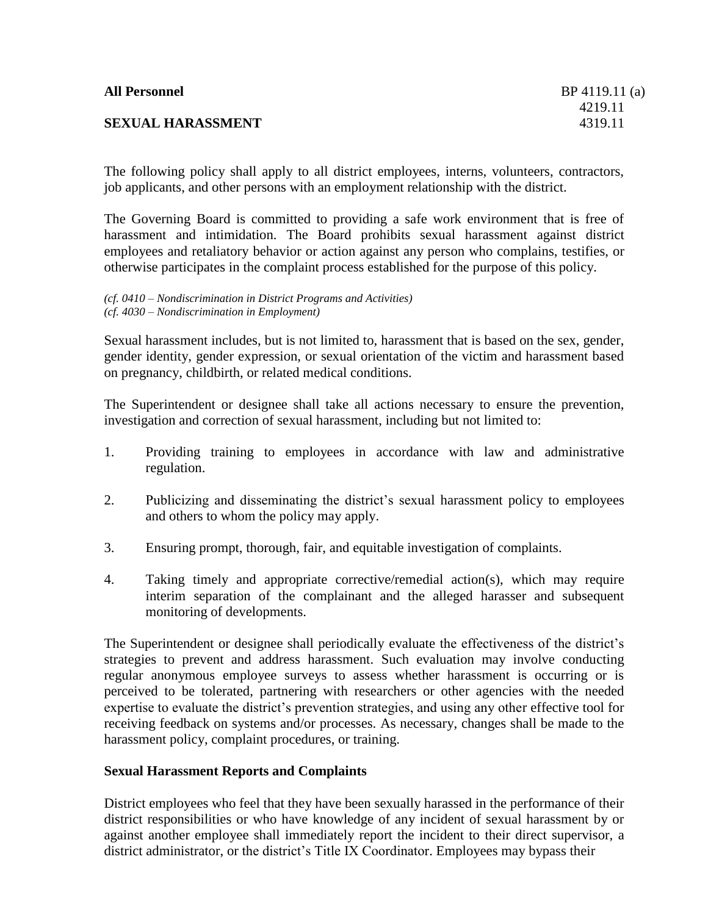# **SEXUAL HARASSMENT** 4319.11

The following policy shall apply to all district employees, interns, volunteers, contractors, job applicants, and other persons with an employment relationship with the district.

The Governing Board is committed to providing a safe work environment that is free of harassment and intimidation. The Board prohibits sexual harassment against district employees and retaliatory behavior or action against any person who complains, testifies, or otherwise participates in the complaint process established for the purpose of this policy.

*(cf. 0410 – Nondiscrimination in District Programs and Activities) (cf. 4030 – Nondiscrimination in Employment)*

Sexual harassment includes, but is not limited to, harassment that is based on the sex, gender, gender identity, gender expression, or sexual orientation of the victim and harassment based on pregnancy, childbirth, or related medical conditions.

The Superintendent or designee shall take all actions necessary to ensure the prevention, investigation and correction of sexual harassment, including but not limited to:

- 1. Providing training to employees in accordance with law and administrative regulation.
- 2. Publicizing and disseminating the district's sexual harassment policy to employees and others to whom the policy may apply.
- 3. Ensuring prompt, thorough, fair, and equitable investigation of complaints.
- 4. Taking timely and appropriate corrective/remedial action(s), which may require interim separation of the complainant and the alleged harasser and subsequent monitoring of developments.

The Superintendent or designee shall periodically evaluate the effectiveness of the district's strategies to prevent and address harassment. Such evaluation may involve conducting regular anonymous employee surveys to assess whether harassment is occurring or is perceived to be tolerated, partnering with researchers or other agencies with the needed expertise to evaluate the district's prevention strategies, and using any other effective tool for receiving feedback on systems and/or processes. As necessary, changes shall be made to the harassment policy, complaint procedures, or training.

### **Sexual Harassment Reports and Complaints**

District employees who feel that they have been sexually harassed in the performance of their district responsibilities or who have knowledge of any incident of sexual harassment by or against another employee shall immediately report the incident to their direct supervisor, a district administrator, or the district's Title IX Coordinator. Employees may bypass their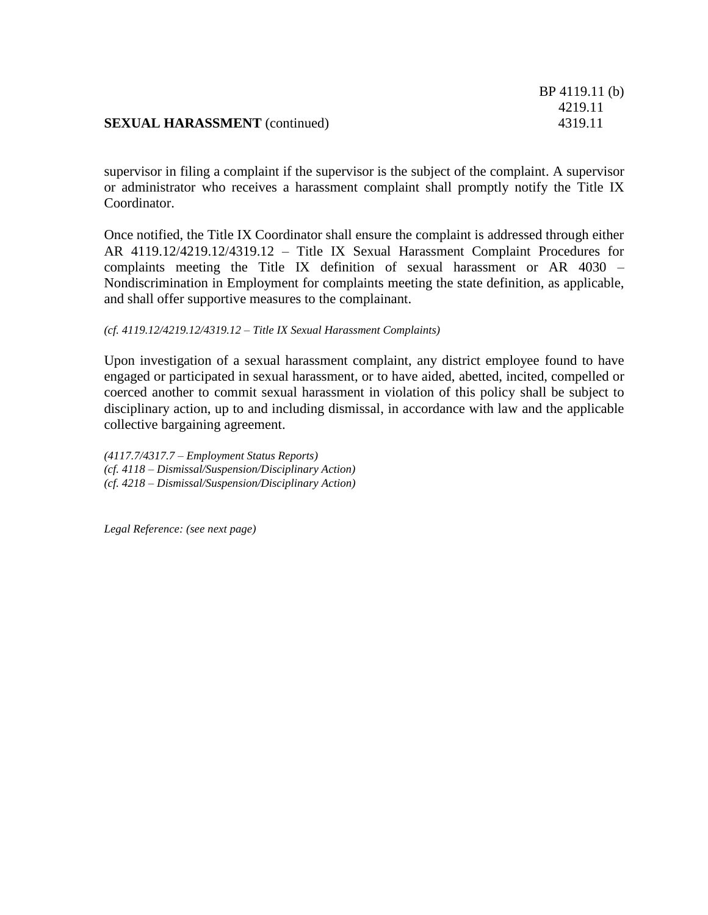|                                      | BP 4119.11 (0) |
|--------------------------------------|----------------|
|                                      | 4219.11        |
| <b>SEXUAL HARASSMENT</b> (continued) | 4319.11        |

BP 4119.11 (b)

supervisor in filing a complaint if the supervisor is the subject of the complaint. A supervisor or administrator who receives a harassment complaint shall promptly notify the Title IX Coordinator.

Once notified, the Title IX Coordinator shall ensure the complaint is addressed through either AR 4119.12/4219.12/4319.12 – Title IX Sexual Harassment Complaint Procedures for complaints meeting the Title IX definition of sexual harassment or AR 4030 – Nondiscrimination in Employment for complaints meeting the state definition, as applicable, and shall offer supportive measures to the complainant.

#### *(cf. 4119.12/4219.12/4319.12 – Title IX Sexual Harassment Complaints)*

Upon investigation of a sexual harassment complaint, any district employee found to have engaged or participated in sexual harassment, or to have aided, abetted, incited, compelled or coerced another to commit sexual harassment in violation of this policy shall be subject to disciplinary action, up to and including dismissal, in accordance with law and the applicable collective bargaining agreement.

*(4117.7/4317.7 – Employment Status Reports) (cf. 4118 – Dismissal/Suspension/Disciplinary Action) (cf. 4218 – Dismissal/Suspension/Disciplinary Action)*

*Legal Reference: (see next page)*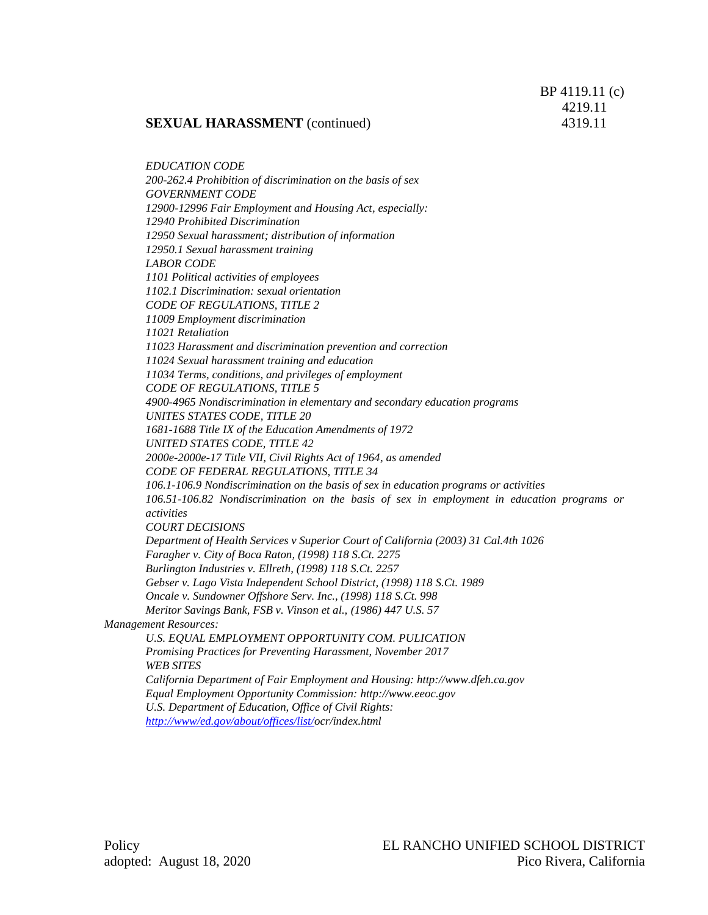*EDUCATION CODE 200-262.4 Prohibition of discrimination on the basis of sex GOVERNMENT CODE 12900-12996 Fair Employment and Housing Act, especially: 12940 Prohibited Discrimination 12950 Sexual harassment; distribution of information 12950.1 Sexual harassment training LABOR CODE 1101 Political activities of employees 1102.1 Discrimination: sexual orientation CODE OF REGULATIONS, TITLE 2 11009 Employment discrimination 11021 Retaliation 11023 Harassment and discrimination prevention and correction 11024 Sexual harassment training and education 11034 Terms, conditions, and privileges of employment CODE OF REGULATIONS, TITLE 5 4900-4965 Nondiscrimination in elementary and secondary education programs UNITES STATES CODE, TITLE 20 1681-1688 Title IX of the Education Amendments of 1972 UNITED STATES CODE, TITLE 42 2000e-2000e-17 Title VII, Civil Rights Act of 1964, as amended CODE OF FEDERAL REGULATIONS, TITLE 34 106.1-106.9 Nondiscrimination on the basis of sex in education programs or activities 106.51-106.82 Nondiscrimination on the basis of sex in employment in education programs or activities COURT DECISIONS Department of Health Services v Superior Court of California (2003) 31 Cal.4th 1026 Faragher v. City of Boca Raton, (1998) 118 S.Ct. 2275 Burlington Industries v. Ellreth, (1998) 118 S.Ct. 2257 Gebser v. Lago Vista Independent School District, (1998) 118 S.Ct. 1989 Oncale v. Sundowner Offshore Serv. Inc., (1998) 118 S.Ct. 998 Meritor Savings Bank, FSB v. Vinson et al., (1986) 447 U.S. 57 Management Resources: U.S. EQUAL EMPLOYMENT OPPORTUNITY COM. PULICATION Promising Practices for Preventing Harassment, November 2017 WEB SITES California Department of Fair Employment and Housing: http://www.dfeh.ca.gov Equal Employment Opportunity Commission[: http://www.eeoc.gov](http://www.eeoc.gov/) U.S. Department of Education, Office of Civil Rights: [http://www/ed.gov/about/offices/list/o](http://www/ed.gov/about/offices/list/)cr/index.html*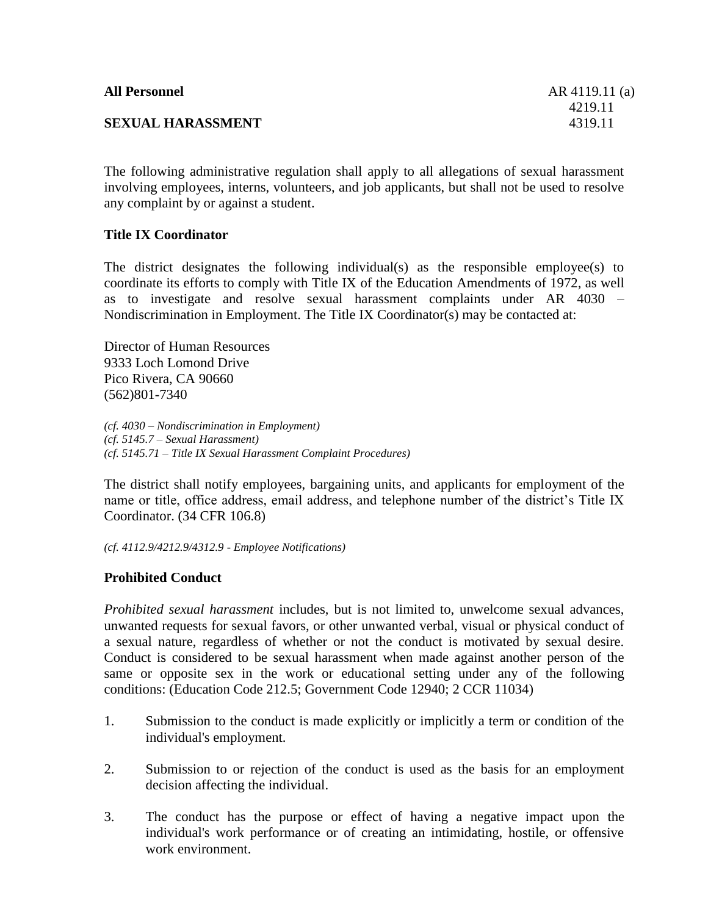| <b>All Personnel</b>     | AR 4119.11 (a) |
|--------------------------|----------------|
|                          | 4219.11        |
| <b>SEXUAL HARASSMENT</b> | 4319.11        |

The following administrative regulation shall apply to all allegations of sexual harassment involving employees, interns, volunteers, and job applicants, but shall not be used to resolve any complaint by or against a student.

# **Title IX Coordinator**

The district designates the following individual(s) as the responsible employee(s) to coordinate its efforts to comply with Title IX of the Education Amendments of 1972, as well as to investigate and resolve sexual harassment complaints under AR 4030 – Nondiscrimination in Employment. The Title IX Coordinator(s) may be contacted at:

Director of Human Resources 9333 Loch Lomond Drive Pico Rivera, CA 90660 (562)801-7340

*(cf. 4030 – Nondiscrimination in Employment) (cf. 5145.7 – Sexual Harassment) (cf. 5145.71 – Title IX Sexual Harassment Complaint Procedures)*

The district shall notify employees, bargaining units, and applicants for employment of the name or title, office address, email address, and telephone number of the district's Title IX Coordinator. (34 CFR 106.8)

*(cf. 4112.9/4212.9/4312.9 - Employee Notifications)*

# **Prohibited Conduct**

*Prohibited sexual harassment* includes, but is not limited to, unwelcome sexual advances, unwanted requests for sexual favors, or other unwanted verbal, visual or physical conduct of a sexual nature, regardless of whether or not the conduct is motivated by sexual desire. Conduct is considered to be sexual harassment when made against another person of the same or opposite sex in the work or educational setting under any of the following conditions: (Education Code 212.5; Government Code 12940; 2 CCR 11034)

- 1. Submission to the conduct is made explicitly or implicitly a term or condition of the individual's employment.
- 2. Submission to or rejection of the conduct is used as the basis for an employment decision affecting the individual.
- 3. The conduct has the purpose or effect of having a negative impact upon the individual's work performance or of creating an intimidating, hostile, or offensive work environment.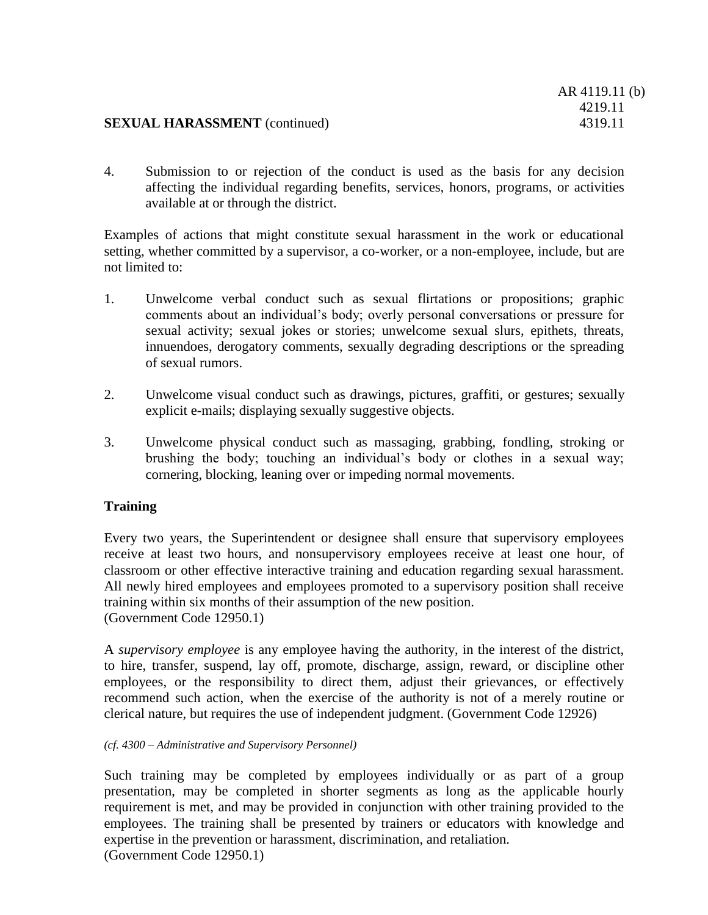4. Submission to or rejection of the conduct is used as the basis for any decision affecting the individual regarding benefits, services, honors, programs, or activities available at or through the district.

Examples of actions that might constitute sexual harassment in the work or educational setting, whether committed by a supervisor, a co-worker, or a non-employee, include, but are not limited to:

- 1. Unwelcome verbal conduct such as sexual flirtations or propositions; graphic comments about an individual's body; overly personal conversations or pressure for sexual activity; sexual jokes or stories; unwelcome sexual slurs, epithets, threats, innuendoes, derogatory comments, sexually degrading descriptions or the spreading of sexual rumors.
- 2. Unwelcome visual conduct such as drawings, pictures, graffiti, or gestures; sexually explicit e-mails; displaying sexually suggestive objects.
- 3. Unwelcome physical conduct such as massaging, grabbing, fondling, stroking or brushing the body; touching an individual's body or clothes in a sexual way; cornering, blocking, leaning over or impeding normal movements.

## **Training**

Every two years, the Superintendent or designee shall ensure that supervisory employees receive at least two hours, and nonsupervisory employees receive at least one hour, of classroom or other effective interactive training and education regarding sexual harassment. All newly hired employees and employees promoted to a supervisory position shall receive training within six months of their assumption of the new position. (Government Code 12950.1)

A *supervisory employee* is any employee having the authority, in the interest of the district, to hire, transfer, suspend, lay off, promote, discharge, assign, reward, or discipline other employees, or the responsibility to direct them, adjust their grievances, or effectively recommend such action, when the exercise of the authority is not of a merely routine or clerical nature, but requires the use of independent judgment. (Government Code 12926)

#### *(cf. 4300 – Administrative and Supervisory Personnel)*

Such training may be completed by employees individually or as part of a group presentation, may be completed in shorter segments as long as the applicable hourly requirement is met, and may be provided in conjunction with other training provided to the employees. The training shall be presented by trainers or educators with knowledge and expertise in the prevention or harassment, discrimination, and retaliation. (Government Code 12950.1)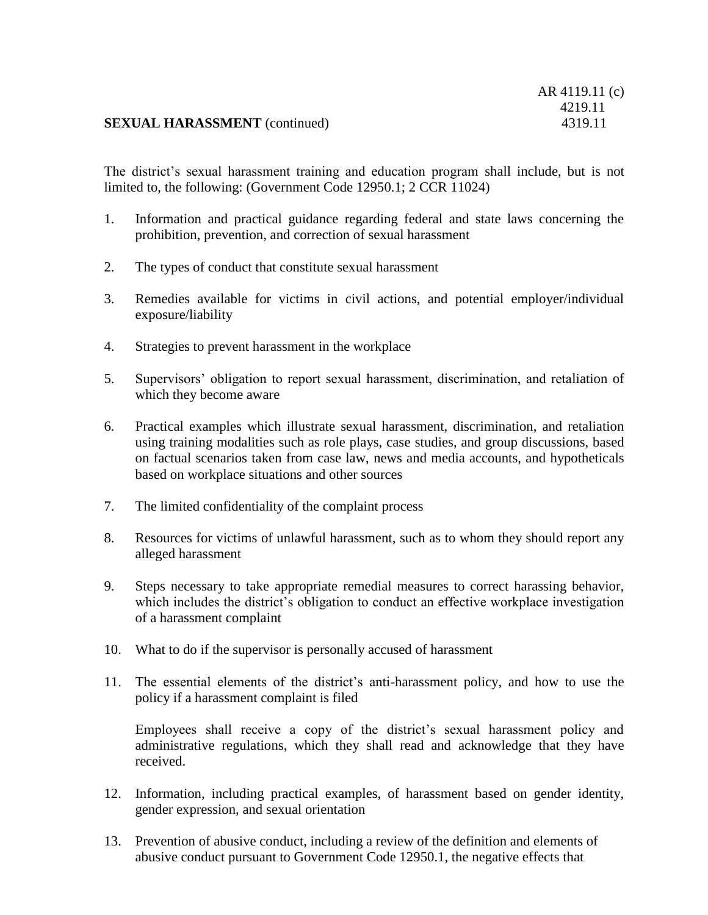The district's sexual harassment training and education program shall include, but is not limited to, the following: (Government Code 12950.1; 2 CCR 11024)

- 1. Information and practical guidance regarding federal and state laws concerning the prohibition, prevention, and correction of sexual harassment
- 2. The types of conduct that constitute sexual harassment
- 3. Remedies available for victims in civil actions, and potential employer/individual exposure/liability
- 4. Strategies to prevent harassment in the workplace
- 5. Supervisors' obligation to report sexual harassment, discrimination, and retaliation of which they become aware
- 6. Practical examples which illustrate sexual harassment, discrimination, and retaliation using training modalities such as role plays, case studies, and group discussions, based on factual scenarios taken from case law, news and media accounts, and hypotheticals based on workplace situations and other sources
- 7. The limited confidentiality of the complaint process
- 8. Resources for victims of unlawful harassment, such as to whom they should report any alleged harassment
- 9. Steps necessary to take appropriate remedial measures to correct harassing behavior, which includes the district's obligation to conduct an effective workplace investigation of a harassment complaint
- 10. What to do if the supervisor is personally accused of harassment
- 11. The essential elements of the district's anti-harassment policy, and how to use the policy if a harassment complaint is filed

Employees shall receive a copy of the district's sexual harassment policy and administrative regulations, which they shall read and acknowledge that they have received.

- 12. Information, including practical examples, of harassment based on gender identity, gender expression, and sexual orientation
- 13. Prevention of abusive conduct, including a review of the definition and elements of abusive conduct pursuant to Government Code 12950.1, the negative effects that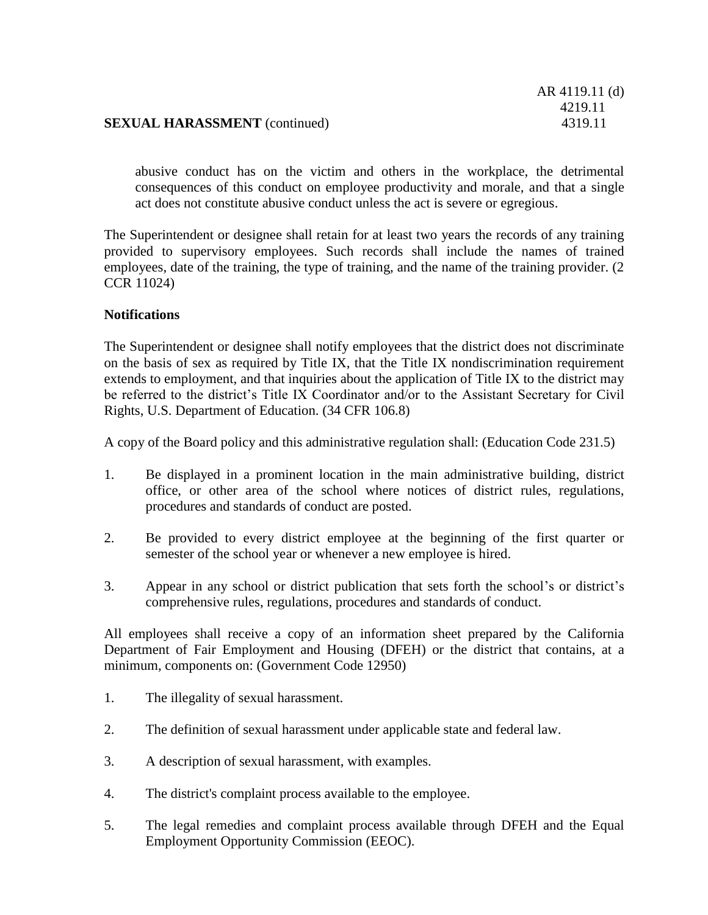abusive conduct has on the victim and others in the workplace, the detrimental consequences of this conduct on employee productivity and morale, and that a single act does not constitute abusive conduct unless the act is severe or egregious.

The Superintendent or designee shall retain for at least two years the records of any training provided to supervisory employees. Such records shall include the names of trained employees, date of the training, the type of training, and the name of the training provider. (2 CCR 11024)

# **Notifications**

The Superintendent or designee shall notify employees that the district does not discriminate on the basis of sex as required by Title IX, that the Title IX nondiscrimination requirement extends to employment, and that inquiries about the application of Title IX to the district may be referred to the district's Title IX Coordinator and/or to the Assistant Secretary for Civil Rights, U.S. Department of Education. (34 CFR 106.8)

A copy of the Board policy and this administrative regulation shall: (Education Code 231.5)

- 1. Be displayed in a prominent location in the main administrative building, district office, or other area of the school where notices of district rules, regulations, procedures and standards of conduct are posted.
- 2. Be provided to every district employee at the beginning of the first quarter or semester of the school year or whenever a new employee is hired.
- 3. Appear in any school or district publication that sets forth the school's or district's comprehensive rules, regulations, procedures and standards of conduct.

All employees shall receive a copy of an information sheet prepared by the California Department of Fair Employment and Housing (DFEH) or the district that contains, at a minimum, components on: (Government Code 12950)

- 1. The illegality of sexual harassment.
- 2. The definition of sexual harassment under applicable state and federal law.
- 3. A description of sexual harassment, with examples.
- 4. The district's complaint process available to the employee.
- 5. The legal remedies and complaint process available through DFEH and the Equal Employment Opportunity Commission (EEOC).